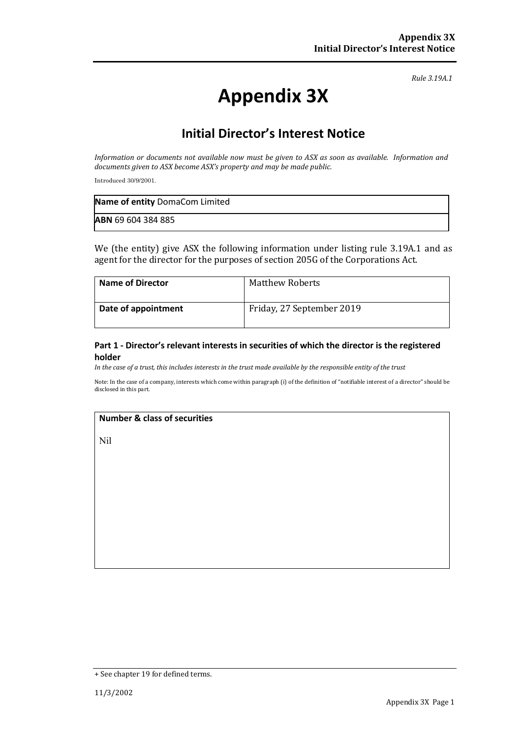*Rule 3.19A.1*

# **Appendix 3X**

### **Initial Director's Interest Notice**

*Information or documents not available now must be given to ASX as soon as available. Information and documents given to ASX become ASX's property and may be made public.*

Introduced 30/9/2001.

| Name of entity DomaCom Limited |  |
|--------------------------------|--|
| <b>ABN 69 604 384 885</b>      |  |

We (the entity) give ASX the following information under listing rule 3.19A.1 and as agent for the director for the purposes of section 205G of the Corporations Act.

| <b>Name of Director</b> | Matthew Roberts           |
|-------------------------|---------------------------|
| Date of appointment     | Friday, 27 September 2019 |

#### **Part 1 - Director's relevant interests in securities of which the director is the registered holder**

*In the case of a trust, this includes interests in the trust made available by the responsible entity of the trust*

Note: In the case of a company, interests which come within paragraph (i) of the definition of "notifiable interest of a director" should be disclosed in this part.

#### **Number & class of securities**

Nil

<sup>+</sup> See chapter 19 for defined terms.